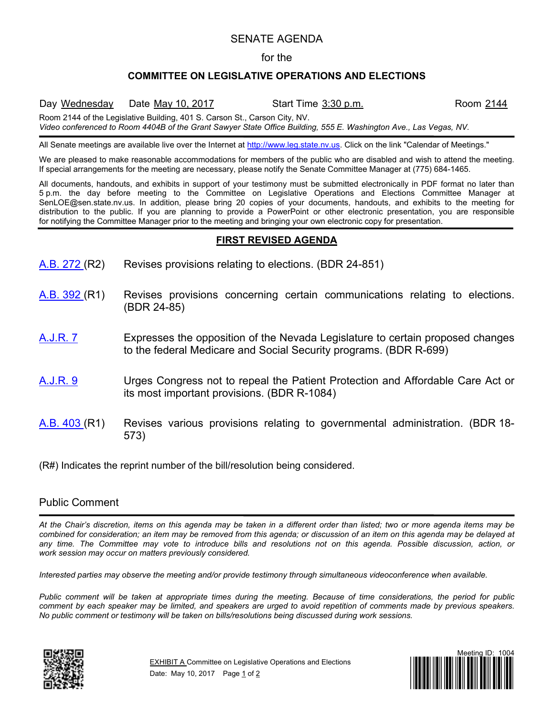## SENATE AGENDA

#### for the

### **COMMITTEE ON LEGISLATIVE OPERATIONS AND ELECTIONS**

Day Wednesday Date May 10, 2017 Start Time 3:30 p.m. Room 2144 Room 2144 of the Legislative Building, 401 S. Carson St., Carson City, NV.

*Video conferenced to Room 4404B of the Grant Sawyer State Office Building, 555 E. Washington Ave., Las Vegas, NV.*

All Senate meetings are available live over the Internet at [http://www.leg.state.nv.us.](http://www.leg.state.nv.us/) Click on the link "Calendar of Meetings."

We are pleased to make reasonable accommodations for members of the public who are disabled and wish to attend the meeting. If special arrangements for the meeting are necessary, please notify the Senate Committee Manager at (775) 684-1465.

All documents, handouts, and exhibits in support of your testimony must be submitted electronically in PDF format no later than 5 p.m. the day before meeting to the Committee on Legislative Operations and Elections Committee Manager at SenLOE@sen.state.nv.us. In addition, please bring 20 copies of your documents, handouts, and exhibits to the meeting for distribution to the public. If you are planning to provide a PowerPoint or other electronic presentation, you are responsible for notifying the Committee Manager prior to the meeting and bringing your own electronic copy for presentation.

#### **FIRST REVISED AGENDA**

- [A.B.](https://www.leg.state.nv.us/App/NELIS/REL/79th2017/Bill/5174/Overview/) 272 (R2) Revises provisions relating to elections. (BDR 24-851)
- [A.B.](https://www.leg.state.nv.us/App/NELIS/REL/79th2017/Bill/5441/Overview/) 392 (R1) Revises provisions concerning certain communications relating to elections. (BDR 24-85)
- [A.J.R.](https://www.leg.state.nv.us/App/NELIS/REL/79th2017/Bill/5062/Overview/) 7 Expresses the opposition of the Nevada Legislature to certain proposed changes to the federal Medicare and Social Security programs. (BDR R-699)
- [A.J.R.](https://www.leg.state.nv.us/App/NELIS/REL/79th2017/Bill/5213/Overview/) 9 Urges Congress not to repeal the Patient Protection and Affordable Care Act or its most important provisions. (BDR R-1084)
- [A.B.](https://www.leg.state.nv.us/App/NELIS/REL/79th2017/Bill/5481/Overview/) 403 (R1) Revises various provisions relating to governmental administration. (BDR 18- 573)

(R#) Indicates the reprint number of the bill/resolution being considered.

# Public Comment

*At the Chair's discretion, items on this agenda may be taken in a different order than listed; two or more agenda items may be combined for consideration; an item may be removed from this agenda; or discussion of an item on this agenda may be delayed at any time. The Committee may vote to introduce bills and resolutions not on this agenda. Possible discussion, action, or work session may occur on matters previously considered.*

*Interested parties may observe the meeting and/or provide testimony through simultaneous videoconference when available.*

*Public comment will be taken at appropriate times during the meeting. Because of time considerations, the period for public comment by each speaker may be limited, and speakers are urged to avoid repetition of comments made by previous speakers. No public comment or testimony will be taken on bills/resolutions being discussed during work sessions.*